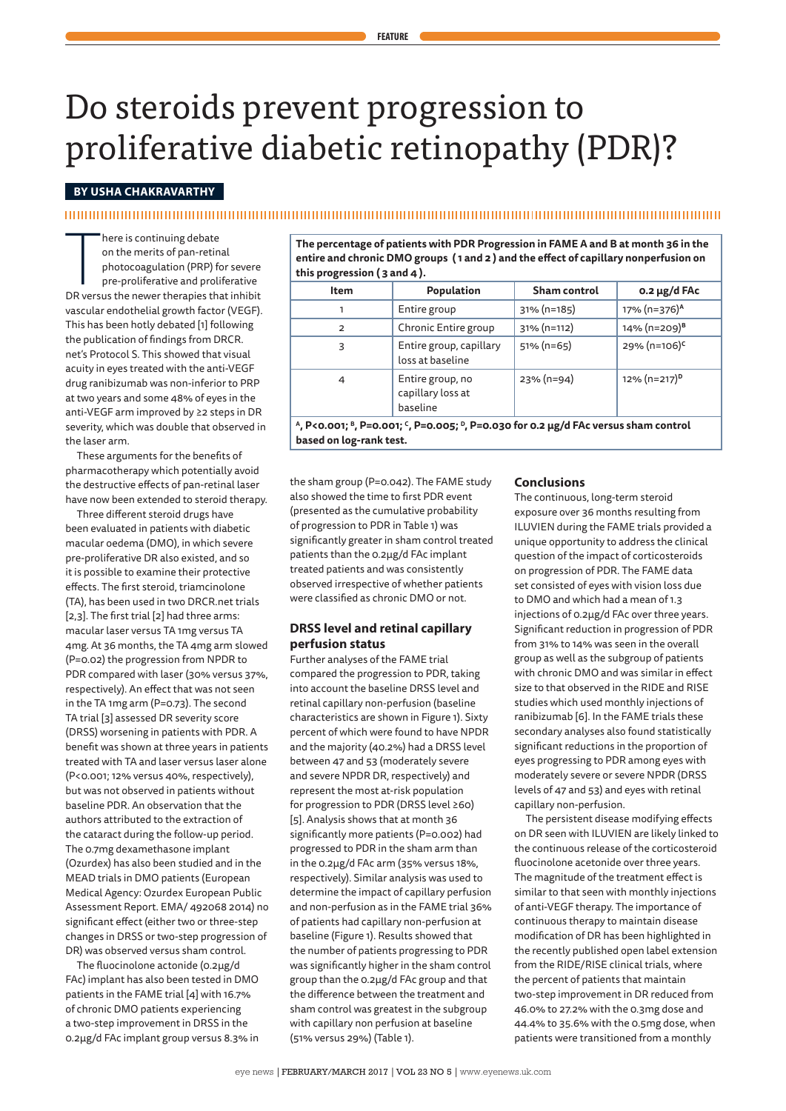# Do steroids prevent progression to proliferative diabetic retinopathy (PDR)?

# **BY USHA CHAKRAVARTHY**

There is continuing debate<br>
on the merits of pan-retinal<br>
photocoagulation (PRP) for severe<br>
pre-proliferative and proliferative<br>
DR versus the newer therapies that inhibit here is continuing debate on the merits of pan-retinal photocoagulation (PRP) for severe pre-proliferative and proliferative vascular endothelial growth factor (VEGF). This has been hotly debated [1] following the publication of findings from DRCR. net's Protocol S. This showed that visual acuity in eyes treated with the anti-VEGF drug ranibizumab was non-inferior to PRP at two years and some 48% of eyes in the anti-VEGF arm improved by ≥2 steps in DR severity, which was double that observed in the laser arm.

These arguments for the benefits of pharmacotherapy which potentially avoid the destructive effects of pan-retinal laser have now been extended to steroid therapy.

Three different steroid drugs have been evaluated in patients with diabetic macular oedema (DMO), in which severe pre-proliferative DR also existed, and so it is possible to examine their protective effects. The first steroid, triamcinolone (TA), has been used in two DRCR.net trials [2,3]. The first trial [2] had three arms: macular laser versus TA 1mg versus TA 4mg. At 36 months, the TA 4mg arm slowed (P=0.02) the progression from NPDR to PDR compared with laser (30% versus 37%, respectively). An effect that was not seen in the TA 1mg arm (P=0.73). The second TA trial [3] assessed DR severity score (DRSS) worsening in patients with PDR. A benefit was shown at three years in patients treated with TA and laser versus laser alone (P<0.001; 12% versus 40%, respectively), but was not observed in patients without baseline PDR. An observation that the authors attributed to the extraction of the cataract during the follow-up period. The 0.7mg dexamethasone implant (Ozurdex) has also been studied and in the MEAD trials in DMO patients (European Medical Agency: Ozurdex European Public Assessment Report. EMA/ 492068 2014) no significant effect (either two or three-step changes in DRSS or two-step progression of DR) was observed versus sham control.

The fluocinolone actonide (0.2µg/d FAc) implant has also been tested in DMO patients in the FAME trial [4] with 16.7% of chronic DMO patients experiencing a two-step improvement in DRSS in the 0.2µg/d FAc implant group versus 8.3% in

| The percentage of patients with PDR Progression in FAME A and B at month 36 in the  |
|-------------------------------------------------------------------------------------|
| entire and chronic DMO groups (1 and 2) and the effect of capillary nonperfusion on |
| this progression ( $3$ and $4$ ).                                                   |

| <b>Item</b>                        | Population                                        | <b>Sham control</b> | 0.2 $\mu$ g/d FAc           |  |
|------------------------------------|---------------------------------------------------|---------------------|-----------------------------|--|
|                                    | Entire group                                      | 31% (n=185)         | 17% (n=376) <sup>A</sup>    |  |
| $\overline{2}$                     | Chronic Entire group                              | 31% (n=112)         | 14% (n=209) <sup>B</sup>    |  |
| 3                                  | Entire group, capillary<br>loss at baseline       | $51\%$ (n=65)       | $29\%$ (n=106) <sup>c</sup> |  |
| 4                                  | Entire group, no<br>capillary loss at<br>baseline | 23% (n=94)          | 12% (n=217) <sup>p</sup>    |  |
| $\blacksquare$<br>$\cdot$ $ \cdot$ |                                                   |                     |                             |  |

**A, P<0.001; B, P=0.001; C, P=0.005; D, P=0.030 for 0.2 µg/d FAc versus sham control based on log-rank test.** 

the sham group (P=0.042). The FAME study also showed the time to first PDR event (presented as the cumulative probability of progression to PDR in Table 1) was significantly greater in sham control treated patients than the 0.2µg/d FAc implant treated patients and was consistently observed irrespective of whether patients were classified as chronic DMO or not.

## **DRSS level and retinal capillary perfusion status**

Further analyses of the FAME trial compared the progression to PDR, taking into account the baseline DRSS level and retinal capillary non-perfusion (baseline characteristics are shown in Figure 1). Sixty percent of which were found to have NPDR and the majority (40.2%) had a DRSS level between 47 and 53 (moderately severe and severe NPDR DR, respectively) and represent the most at-risk population for progression to PDR (DRSS level ≥60) [5]. Analysis shows that at month 36 significantly more patients (P=0.002) had progressed to PDR in the sham arm than in the 0.2µg/d FAc arm (35% versus 18%, respectively). Similar analysis was used to determine the impact of capillary perfusion and non-perfusion as in the FAME trial 36% of patients had capillary non-perfusion at baseline (Figure 1). Results showed that the number of patients progressing to PDR was significantly higher in the sham control group than the 0.2µg/d FAc group and that the difference between the treatment and sham control was greatest in the subgroup with capillary non perfusion at baseline (51% versus 29%) (Table 1).

## **Conclusions**

The continuous, long-term steroid exposure over 36 months resulting from ILUVIEN during the FAME trials provided a unique opportunity to address the clinical question of the impact of corticosteroids on progression of PDR. The FAME data set consisted of eyes with vision loss due to DMO and which had a mean of 1.3 injections of 0.2μg/d FAc over three years. Significant reduction in progression of PDR from 31% to 14% was seen in the overall group as well as the subgroup of patients with chronic DMO and was similar in effect size to that observed in the RIDE and RISE studies which used monthly injections of ranibizumab [6]. In the FAME trials these secondary analyses also found statistically significant reductions in the proportion of eyes progressing to PDR among eyes with moderately severe or severe NPDR (DRSS levels of 47 and 53) and eyes with retinal capillary non-perfusion.

The persistent disease modifying effects on DR seen with ILUVIEN are likely linked to the continuous release of the corticosteroid fluocinolone acetonide over three years. The magnitude of the treatment effect is similar to that seen with monthly injections of anti-VEGF therapy. The importance of continuous therapy to maintain disease modification of DR has been highlighted in the recently published open label extension from the RIDE/RISE clinical trials, where the percent of patients that maintain two-step improvement in DR reduced from 46.0% to 27.2% with the 0.3mg dose and 44.4% to 35.6% with the 0.5mg dose, when patients were transitioned from a monthly